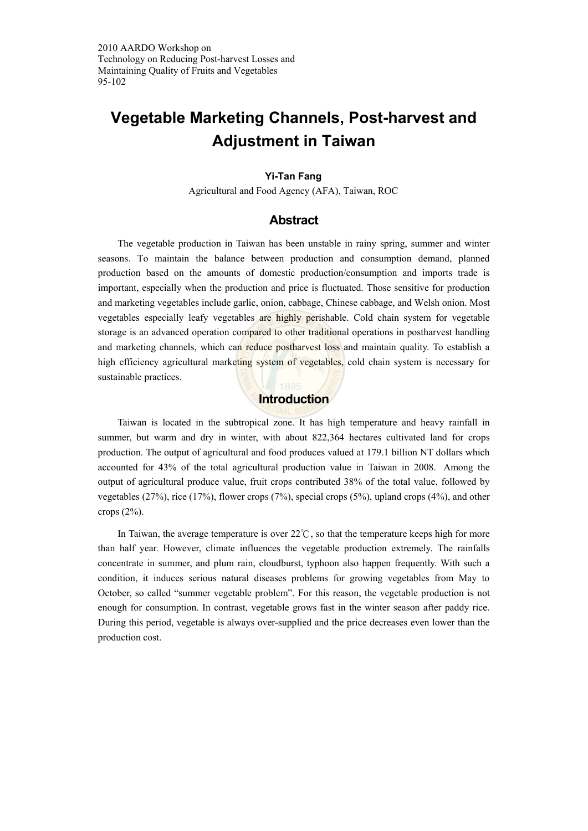2010 AARDO Workshop on Technology on Reducing Post-harvest Losses and Maintaining Quality of Fruits and Vegetables 95-102

# **Vegetable Marketing Channels, Post-harvest and Adjustment in Taiwan**

#### **Yi-Tan Fang**

Agricultural and Food Agency (AFA), Taiwan, ROC

## **Abstract**

The vegetable production in Taiwan has been unstable in rainy spring, summer and winter seasons. To maintain the balance between production and consumption demand, planned production based on the amounts of domestic production/consumption and imports trade is important, especially when the production and price is fluctuated. Those sensitive for production and marketing vegetables include garlic, onion, cabbage, Chinese cabbage, and Welsh onion. Most vegetables especially leafy vegetables are highly perishable. Cold chain system for vegetable storage is an advanced operation compared to other traditional operations in postharvest handling and marketing channels, which can reduce postharvest loss and maintain quality. To establish a high efficiency agricultural marketing system of vegetables, cold chain system is necessary for sustainable practices.

## **Introduction**

Taiwan is located in the subtropical zone. It has high temperature and heavy rainfall in summer, but warm and dry in winter, with about 822,364 hectares cultivated land for crops production. The output of agricultural and food produces valued at 179.1 billion NT dollars which accounted for 43% of the total agricultural production value in Taiwan in 2008. Among the output of agricultural produce value, fruit crops contributed 38% of the total value, followed by vegetables (27%), rice (17%), flower crops (7%), special crops (5%), upland crops (4%), and other crops (2%).

In Taiwan, the average temperature is over 22℃, so that the temperature keeps high for more than half year. However, climate influences the vegetable production extremely. The rainfalls concentrate in summer, and plum rain, cloudburst, typhoon also happen frequently. With such a condition, it induces serious natural diseases problems for growing vegetables from May to October, so called "summer vegetable problem". For this reason, the vegetable production is not enough for consumption. In contrast, vegetable grows fast in the winter season after paddy rice. During this period, vegetable is always over-supplied and the price decreases even lower than the production cost.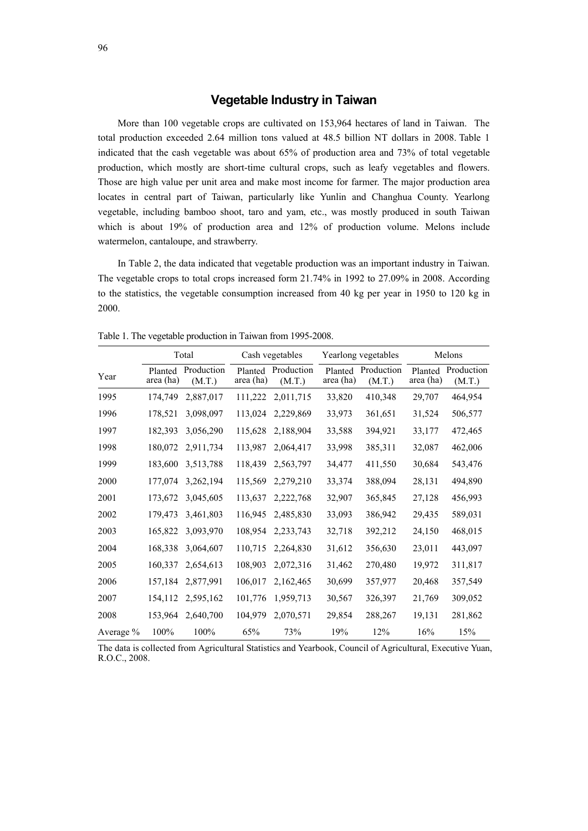## **Vegetable Industry in Taiwan**

More than 100 vegetable crops are cultivated on 153,964 hectares of land in Taiwan. The total production exceeded 2.64 million tons valued at 48.5 billion NT dollars in 2008. Table 1 indicated that the cash vegetable was about 65% of production area and 73% of total vegetable production, which mostly are short-time cultural crops, such as leafy vegetables and flowers. Those are high value per unit area and make most income for farmer. The major production area locates in central part of Taiwan, particularly like Yunlin and Changhua County. Yearlong vegetable, including bamboo shoot, taro and yam, etc., was mostly produced in south Taiwan which is about 19% of production area and 12% of production volume. Melons include watermelon, cantaloupe, and strawberry.

In Table 2, the data indicated that vegetable production was an important industry in Taiwan. The vegetable crops to total crops increased form 21.74% in 1992 to 27.09% in 2008. According to the statistics, the vegetable consumption increased from 40 kg per year in 1950 to 120 kg in 2000.

|           | Total                |                      | Cash vegetables |                              | Yearlong vegetables  |                      | Melons               |                      |
|-----------|----------------------|----------------------|-----------------|------------------------------|----------------------|----------------------|----------------------|----------------------|
| Year      | Planted<br>area (ha) | Production<br>(M.T.) | area (ha)       | Planted Production<br>(M.T.) | Planted<br>area (ha) | Production<br>(M.T.) | Planted<br>area (ha) | Production<br>(M.T.) |
| 1995      | 174,749              | 2,887,017            | 111,222         | 2,011,715                    | 33,820               | 410,348              | 29,707               | 464,954              |
| 1996      | 178,521              | 3,098,097            | 113,024         | 2,229,869                    | 33,973               | 361,651              | 31,524               | 506,577              |
| 1997      | 182,393              | 3,056,290            | 115,628         | 2,188,904                    | 33,588               | 394,921              | 33,177               | 472,465              |
| 1998      | 180,072              | 2,911,734            | 113,987         | 2,064,417                    | 33,998               | 385,311              | 32,087               | 462,006              |
| 1999      | 183,600              | 3,513,788            | 118,439         | 2,563,797                    | 34,477               | 411,550              | 30,684               | 543,476              |
| 2000      | 177.074              | 3,262,194            | 115,569         | 2,279,210                    | 33,374               | 388,094              | 28,131               | 494,890              |
| 2001      | 173,672              | 3,045,605            | 113,637         | 2,222,768                    | 32,907               | 365,845              | 27,128               | 456,993              |
| 2002      | 179,473              | 3,461,803            | 116,945         | 2,485,830                    | 33,093               | 386,942              | 29,435               | 589,031              |
| 2003      | 165,822              | 3,093,970            | 108,954         | 2,233,743                    | 32,718               | 392,212              | 24,150               | 468,015              |
| 2004      | 168,338              | 3,064,607            | 110,715         | 2,264,830                    | 31,612               | 356,630              | 23,011               | 443,097              |
| 2005      | 160,337              | 2,654,613            | 108,903         | 2,072,316                    | 31,462               | 270,480              | 19,972               | 311,817              |
| 2006      | 157,184              | 2,877,991            | 106,017         | 2,162,465                    | 30,699               | 357,977              | 20,468               | 357,549              |
| 2007      | 154,112              | 2,595,162            | 101,776         | 1,959,713                    | 30,567               | 326,397              | 21,769               | 309,052              |
| 2008      | 153,964              | 2,640,700            | 104,979         | 2,070,571                    | 29,854               | 288,267              | 19,131               | 281,862              |
| Average % | 100%                 | 100%                 | 65%             | 73%                          | 19%                  | 12%                  | 16%                  | 15%                  |

Table 1. The vegetable production in Taiwan from 1995-2008.

The data is collected from Agricultural Statistics and Yearbook, Council of Agricultural, Executive Yuan, R.O.C., 2008.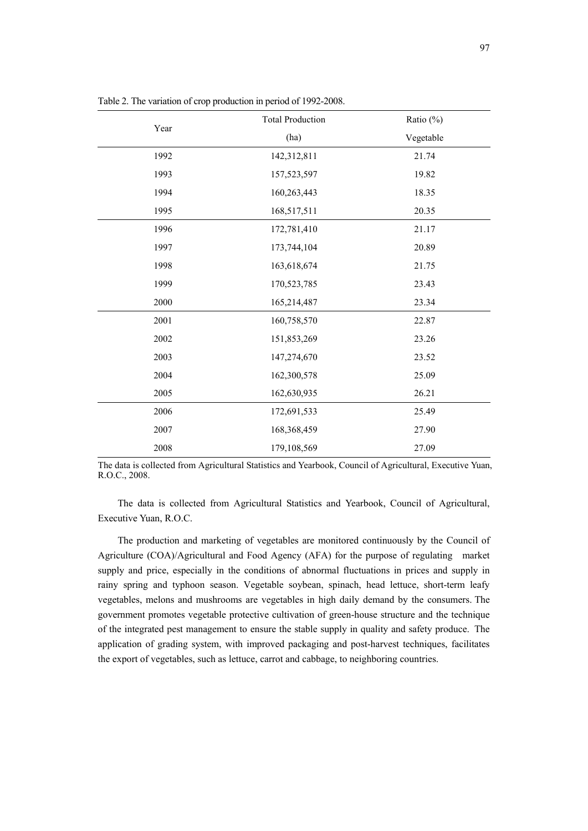|          | <b>Total Production</b> | Ratio (%) |
|----------|-------------------------|-----------|
| Year     | (ha)                    | Vegetable |
| 1992     | 142,312,811             | 21.74     |
| 1993     | 157,523,597             | 19.82     |
| 1994     | 160,263,443             | 18.35     |
| 1995     | 168,517,511             | 20.35     |
| 1996     | 172,781,410             | 21.17     |
| 1997     | 173,744,104             | 20.89     |
| 1998     | 163,618,674             | 21.75     |
| 1999     | 170,523,785             | 23.43     |
| $2000\,$ | 165,214,487             | 23.34     |
| 2001     | 160,758,570             | 22.87     |
| 2002     | 151,853,269             | 23.26     |
| 2003     | 147,274,670             | 23.52     |
| 2004     | 162,300,578             | 25.09     |
| 2005     | 162,630,935             | 26.21     |
| 2006     | 172,691,533             | 25.49     |
| 2007     | 168,368,459             | 27.90     |
| 2008     | 179,108,569             | 27.09     |

Table 2. The variation of crop production in period of 1992-2008.

The data is collected from Agricultural Statistics and Yearbook, Council of Agricultural, Executive Yuan, R.O.C., 2008.

The data is collected from Agricultural Statistics and Yearbook, Council of Agricultural, Executive Yuan, R.O.C.

The production and marketing of vegetables are monitored continuously by the Council of Agriculture (COA)/Agricultural and Food Agency (AFA) for the purpose of regulating market supply and price, especially in the conditions of abnormal fluctuations in prices and supply in rainy spring and typhoon season. Vegetable soybean, spinach, head lettuce, short-term leafy vegetables, melons and mushrooms are vegetables in high daily demand by the consumers. The government promotes vegetable protective cultivation of green-house structure and the technique of the integrated pest management to ensure the stable supply in quality and safety produce. The application of grading system, with improved packaging and post-harvest techniques, facilitates the export of vegetables, such as lettuce, carrot and cabbage, to neighboring countries.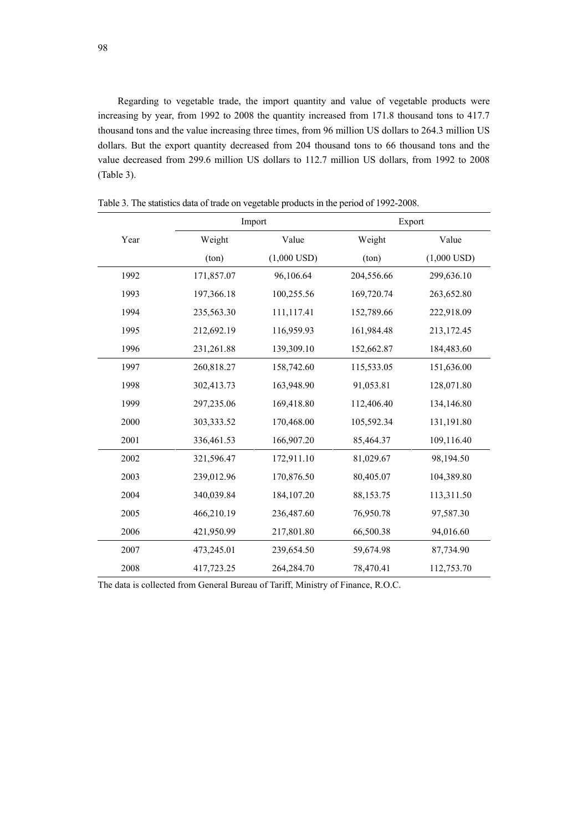Regarding to vegetable trade, the import quantity and value of vegetable products were increasing by year, from 1992 to 2008 the quantity increased from 171.8 thousand tons to 417.7 thousand tons and the value increasing three times, from 96 million US dollars to 264.3 million US dollars. But the export quantity decreased from 204 thousand tons to 66 thousand tons and the value decreased from 299.6 million US dollars to 112.7 million US dollars, from 1992 to 2008 (Table 3).

|      |            | Import        | Export     |               |  |
|------|------------|---------------|------------|---------------|--|
| Year | Weight     | Value         | Weight     | Value         |  |
|      | (ton)      | $(1,000$ USD) | (ton)      | $(1,000$ USD) |  |
| 1992 | 171,857.07 | 96,106.64     | 204,556.66 | 299,636.10    |  |
| 1993 | 197,366.18 | 100,255.56    | 169,720.74 | 263,652.80    |  |
| 1994 | 235,563.30 | 111,117.41    | 152,789.66 | 222,918.09    |  |
| 1995 | 212,692.19 | 116,959.93    | 161,984.48 | 213,172.45    |  |
| 1996 | 231,261.88 | 139,309.10    | 152,662.87 | 184,483.60    |  |
| 1997 | 260,818.27 | 158,742.60    | 115,533.05 | 151,636.00    |  |
| 1998 | 302,413.73 | 163,948.90    | 91,053.81  | 128,071.80    |  |
| 1999 | 297,235.06 | 169,418.80    | 112,406.40 | 134,146.80    |  |
| 2000 | 303,333.52 | 170,468.00    | 105,592.34 | 131,191.80    |  |
| 2001 | 336,461.53 | 166,907.20    | 85,464.37  | 109,116.40    |  |
| 2002 | 321,596.47 | 172,911.10    | 81,029.67  | 98,194.50     |  |
| 2003 | 239,012.96 | 170,876.50    | 80,405.07  | 104,389.80    |  |
| 2004 | 340,039.84 | 184, 107. 20  | 88,153.75  | 113,311.50    |  |
| 2005 | 466,210.19 | 236,487.60    | 76,950.78  | 97,587.30     |  |
| 2006 | 421,950.99 | 217,801.80    | 66,500.38  | 94,016.60     |  |
| 2007 | 473,245.01 | 239,654.50    | 59,674.98  | 87,734.90     |  |
| 2008 | 417,723.25 | 264,284.70    | 78,470.41  | 112,753.70    |  |

Table 3. The statistics data of trade on vegetable products in the period of 1992-2008.

The data is collected from General Bureau of Tariff, Ministry of Finance, R.O.C.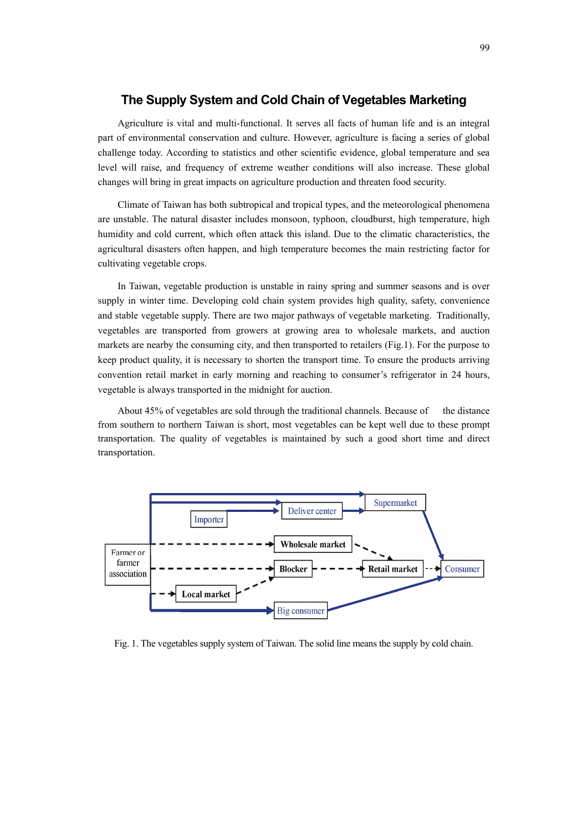## **The Supply System and Cold Chain of Vegetables Marketing**

Agriculture is vital and multi-functional. It serves all facts of human life and is an integral part of environmental conservation and culture. However, agriculture is facing a series of global challenge today. According to statistics and other scientific evidence, global temperature and sea level will raise, and frequency of extreme weather conditions will also increase. These global changes will bring in great impacts on agriculture production and threaten food security.

Climate of Taiwan has both subtropical and tropical types, and the meteorological phenomena are unstable. The natural disaster includes monsoon, typhoon, cloudburst, high temperature, high humidity and cold current, which often attack this island. Due to the climatic characteristics, the agricultural disasters often happen, and high temperature becomes the main restricting factor for cultivating vegetable crops.

In Taiwan, vegetable production is unstable in rainy spring and summer seasons and is over supply in winter time. Developing cold chain system provides high quality, safety, convenience and stable vegetable supply. There are two major pathways of vegetable marketing. Traditionally, vegetables are transported from growers at growing area to wholesale markets, and auction markets are nearby the consuming city, and then transported to retailers (Fig.1). For the purpose to keep product quality, it is necessary to shorten the transport time. To ensure the products arriving convention retail market in early morning and reaching to consumer's refrigerator in 24 hours, vegetable is always transported in the midnight for auction.

About 45% of vegetables are sold through the traditional channels. Because of the distance from southern to northern Taiwan is short, most vegetables can be kept well due to these prompt transportation. The quality of vegetables is maintained by such a good short time and direct transportation.



Fig. 1. The vegetables supply system of Taiwan. The solid line means the supply by cold chain.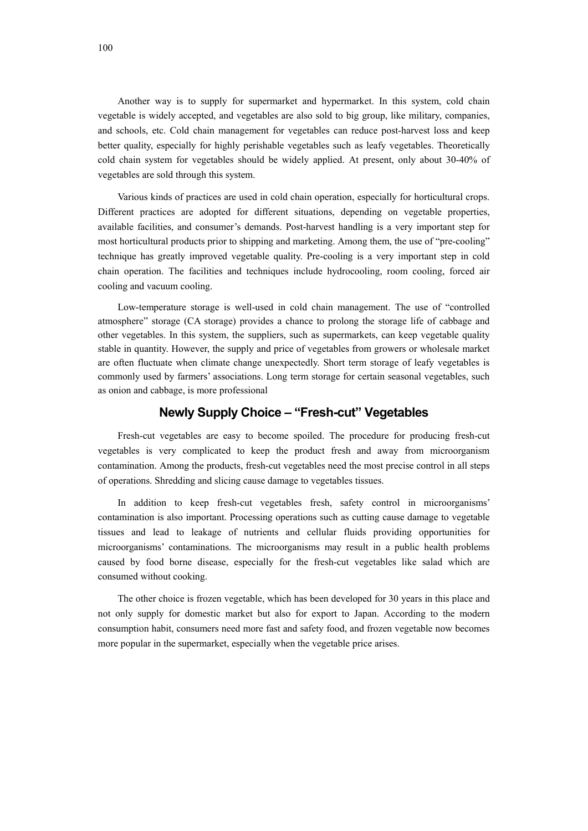Another way is to supply for supermarket and hypermarket. In this system, cold chain vegetable is widely accepted, and vegetables are also sold to big group, like military, companies, and schools, etc. Cold chain management for vegetables can reduce post-harvest loss and keep better quality, especially for highly perishable vegetables such as leafy vegetables. Theoretically cold chain system for vegetables should be widely applied. At present, only about 30-40% of vegetables are sold through this system.

Various kinds of practices are used in cold chain operation, especially for horticultural crops. Different practices are adopted for different situations, depending on vegetable properties, available facilities, and consumer's demands. Post-harvest handling is a very important step for most horticultural products prior to shipping and marketing. Among them, the use of "pre-cooling" technique has greatly improved vegetable quality. Pre-cooling is a very important step in cold chain operation. The facilities and techniques include hydrocooling, room cooling, forced air cooling and vacuum cooling.

Low-temperature storage is well-used in cold chain management. The use of "controlled atmosphere" storage (CA storage) provides a chance to prolong the storage life of cabbage and other vegetables. In this system, the suppliers, such as supermarkets, can keep vegetable quality stable in quantity. However, the supply and price of vegetables from growers or wholesale market are often fluctuate when climate change unexpectedly. Short term storage of leafy vegetables is commonly used by farmers' associations. Long term storage for certain seasonal vegetables, such as onion and cabbage, is more professional

# **Newly Supply Choice – "Fresh-cut" Vegetables**

Fresh-cut vegetables are easy to become spoiled. The procedure for producing fresh-cut vegetables is very complicated to keep the product fresh and away from microorganism contamination. Among the products, fresh-cut vegetables need the most precise control in all steps of operations. Shredding and slicing cause damage to vegetables tissues.

In addition to keep fresh-cut vegetables fresh, safety control in microorganisms' contamination is also important. Processing operations such as cutting cause damage to vegetable tissues and lead to leakage of nutrients and cellular fluids providing opportunities for microorganisms' contaminations. The microorganisms may result in a public health problems caused by food borne disease, especially for the fresh-cut vegetables like salad which are consumed without cooking.

The other choice is frozen vegetable, which has been developed for 30 years in this place and not only supply for domestic market but also for export to Japan. According to the modern consumption habit, consumers need more fast and safety food, and frozen vegetable now becomes more popular in the supermarket, especially when the vegetable price arises.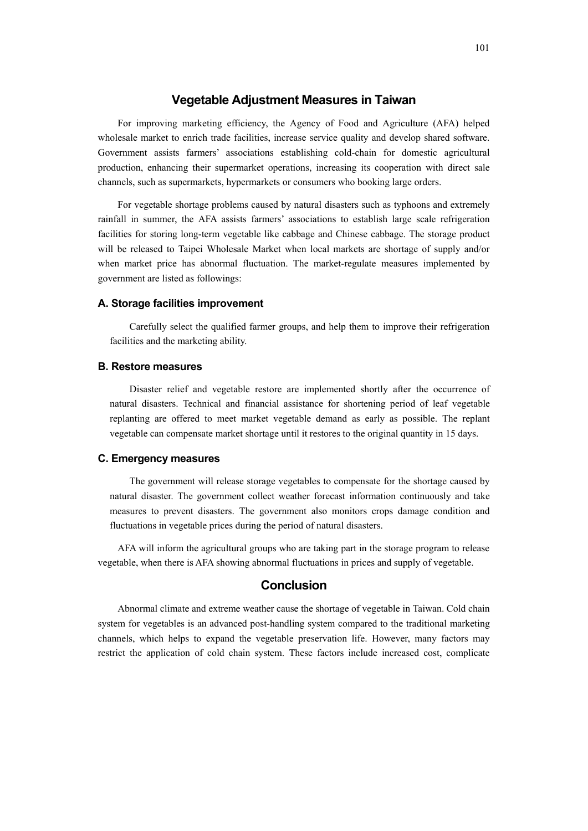## **Vegetable Adjustment Measures in Taiwan**

For improving marketing efficiency, the Agency of Food and Agriculture (AFA) helped wholesale market to enrich trade facilities, increase service quality and develop shared software. Government assists farmers' associations establishing cold-chain for domestic agricultural production, enhancing their supermarket operations, increasing its cooperation with direct sale channels, such as supermarkets, hypermarkets or consumers who booking large orders.

For vegetable shortage problems caused by natural disasters such as typhoons and extremely rainfall in summer, the AFA assists farmers' associations to establish large scale refrigeration facilities for storing long-term vegetable like cabbage and Chinese cabbage. The storage product will be released to Taipei Wholesale Market when local markets are shortage of supply and/or when market price has abnormal fluctuation. The market-regulate measures implemented by government are listed as followings:

#### **A. Storage facilities improvement**

Carefully select the qualified farmer groups, and help them to improve their refrigeration facilities and the marketing ability.

#### **B. Restore measures**

Disaster relief and vegetable restore are implemented shortly after the occurrence of natural disasters. Technical and financial assistance for shortening period of leaf vegetable replanting are offered to meet market vegetable demand as early as possible. The replant vegetable can compensate market shortage until it restores to the original quantity in 15 days.

#### **C. Emergency measures**

The government will release storage vegetables to compensate for the shortage caused by natural disaster. The government collect weather forecast information continuously and take measures to prevent disasters. The government also monitors crops damage condition and fluctuations in vegetable prices during the period of natural disasters.

AFA will inform the agricultural groups who are taking part in the storage program to release vegetable, when there is AFA showing abnormal fluctuations in prices and supply of vegetable.

## **Conclusion**

Abnormal climate and extreme weather cause the shortage of vegetable in Taiwan. Cold chain system for vegetables is an advanced post-handling system compared to the traditional marketing channels, which helps to expand the vegetable preservation life. However, many factors may restrict the application of cold chain system. These factors include increased cost, complicate